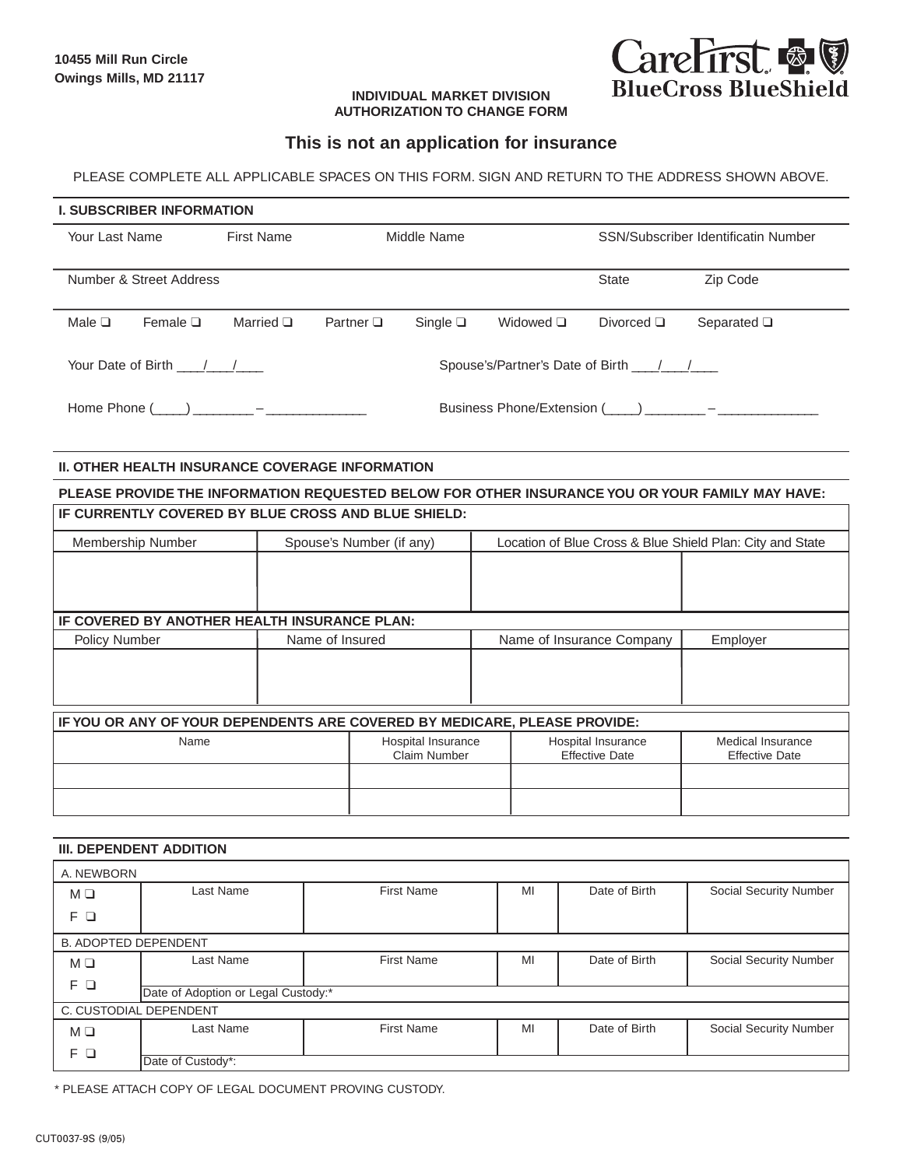

## **INDIVIDUAL MARKET DIVISION AUTHORIZATION TO CHANGE FORM**

## **This is not an application for insurance**

PLEASE COMPLETE ALL APPLICABLE SPACES ON THIS FORM. SIGN AND RETURN TO THE ADDRESS SHOWN ABOVE.

## **I. SUBSCRIBER INFORMATION**

| Your Last Name                     | First Name                                                                                                                          | Middle Name                         |                  |                | SSN/Subscriber Identificatin Number |                                                            |  |
|------------------------------------|-------------------------------------------------------------------------------------------------------------------------------------|-------------------------------------|------------------|----------------|-------------------------------------|------------------------------------------------------------|--|
| Number & Street Address            |                                                                                                                                     |                                     |                  |                | <b>State</b>                        | Zip Code                                                   |  |
| Male $\square$<br>Female $\square$ | Married $\Box$                                                                                                                      | Partner $\Box$                      | Single $\square$ | Widowed $\Box$ | Divorced $\Box$                     | Separated $\square$                                        |  |
| Your Date of Birth / /             |                                                                                                                                     | Spouse's/Partner's Date of Birth 11 |                  |                |                                     |                                                            |  |
| Home Phone (                       | $\mathbf{a}$ and $\mathbf{b}$ and $\mathbf{b}$ and $\mathbf{b}$ and $\mathbf{b}$ and $\mathbf{b}$ and $\mathbf{b}$ and $\mathbf{b}$ |                                     |                  |                |                                     | Business Phone/Extension $(\_\_\_\_)\_\_\_\_$ – $\_\_\_\_$ |  |

## **II. OTHER HEALTH INSURANCE COVERAGE INFORMATION**

| PLEASE PROVIDE THE INFORMATION REQUESTED BELOW FOR OTHER INSURANCE YOU OR YOUR FAMILY MAY HAVE: |  |                                    |                                                           |                                             |                                            |  |  |
|-------------------------------------------------------------------------------------------------|--|------------------------------------|-----------------------------------------------------------|---------------------------------------------|--------------------------------------------|--|--|
| IF CURRENTLY COVERED BY BLUE CROSS AND BLUE SHIELD:                                             |  |                                    |                                                           |                                             |                                            |  |  |
| Membership Number                                                                               |  | Spouse's Number (if any)           | Location of Blue Cross & Blue Shield Plan: City and State |                                             |                                            |  |  |
|                                                                                                 |  |                                    |                                                           |                                             |                                            |  |  |
|                                                                                                 |  |                                    |                                                           |                                             |                                            |  |  |
| IF COVERED BY ANOTHER HEALTH INSURANCE PLAN:                                                    |  |                                    |                                                           |                                             |                                            |  |  |
| Name of Insured<br>Policy Number                                                                |  |                                    |                                                           | Name of Insurance Company                   | Employer                                   |  |  |
|                                                                                                 |  |                                    |                                                           |                                             |                                            |  |  |
|                                                                                                 |  |                                    |                                                           |                                             |                                            |  |  |
|                                                                                                 |  |                                    |                                                           |                                             |                                            |  |  |
| IF YOU OR ANY OF YOUR DEPENDENTS ARE COVERED BY MEDICARE, PLEASE PROVIDE:                       |  |                                    |                                                           |                                             |                                            |  |  |
| Name                                                                                            |  | Hospital Insurance<br>Claim Number |                                                           | Hospital Insurance<br><b>Effective Date</b> | Medical Insurance<br><b>Effective Date</b> |  |  |
|                                                                                                 |  |                                    |                                                           |                                             |                                            |  |  |
|                                                                                                 |  |                                    |                                                           |                                             |                                            |  |  |

|                             | <b>III. DEPENDENT ADDITION</b>      |                   |    |               |                        |  |  |  |  |
|-----------------------------|-------------------------------------|-------------------|----|---------------|------------------------|--|--|--|--|
| A. NEWBORN                  |                                     |                   |    |               |                        |  |  |  |  |
| $M \square$                 | Last Name                           | <b>First Name</b> | MI | Date of Birth | Social Security Number |  |  |  |  |
| FΩ                          |                                     |                   |    |               |                        |  |  |  |  |
| <b>B. ADOPTED DEPENDENT</b> |                                     |                   |    |               |                        |  |  |  |  |
| $M \square$                 | Last Name                           | <b>First Name</b> | MI | Date of Birth | Social Security Number |  |  |  |  |
| FΩ                          |                                     |                   |    |               |                        |  |  |  |  |
|                             | Date of Adoption or Legal Custody:* |                   |    |               |                        |  |  |  |  |
| C. CUSTODIAL DEPENDENT      |                                     |                   |    |               |                        |  |  |  |  |
| $M \square$                 | Last Name                           | <b>First Name</b> | MI | Date of Birth | Social Security Number |  |  |  |  |
| FО                          | Date of Custody*:                   |                   |    |               |                        |  |  |  |  |

\* PLEASE ATTACH COPY OF LEGAL DOCUMENT PROVING CUSTODY.